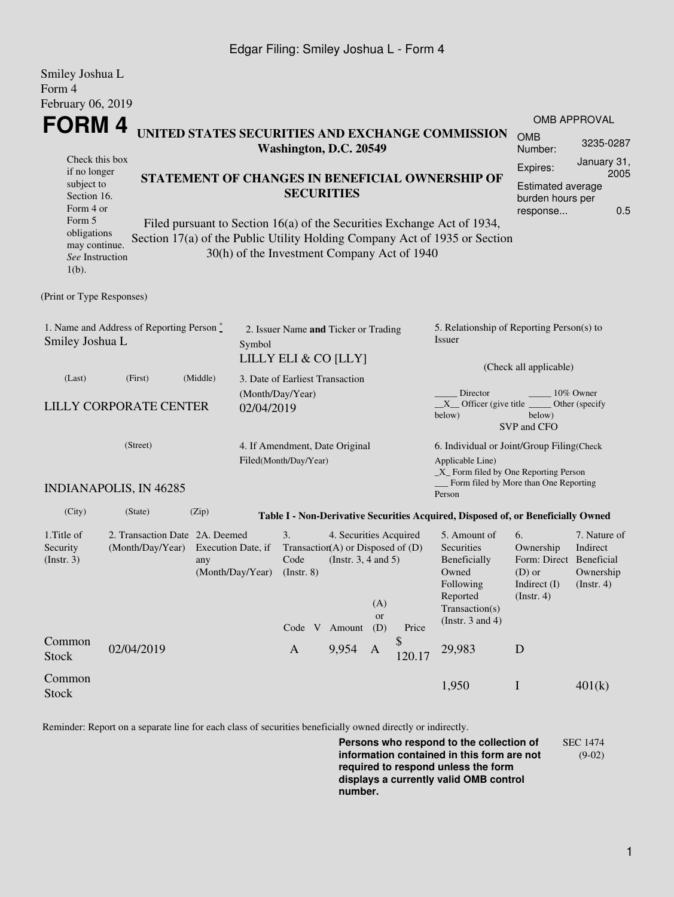## Edgar Filing: Smiley Joshua L - Form 4

| Smiley Joshua L<br>Form 4                                                                     |                               |                                                                                 |                                 |                                                                      |                                                                                                                                    |                  |              |                                                                                                                                                       |                                                                                             |                                                      |  |  |
|-----------------------------------------------------------------------------------------------|-------------------------------|---------------------------------------------------------------------------------|---------------------------------|----------------------------------------------------------------------|------------------------------------------------------------------------------------------------------------------------------------|------------------|--------------|-------------------------------------------------------------------------------------------------------------------------------------------------------|---------------------------------------------------------------------------------------------|------------------------------------------------------|--|--|
| February 06, 2019                                                                             |                               |                                                                                 |                                 |                                                                      |                                                                                                                                    |                  |              |                                                                                                                                                       |                                                                                             |                                                      |  |  |
| <b>FORM4</b>                                                                                  |                               |                                                                                 |                                 |                                                                      |                                                                                                                                    |                  |              |                                                                                                                                                       | <b>OMB APPROVAL</b>                                                                         |                                                      |  |  |
| UNITED STATES SECURITIES AND EXCHANGE COMMISSION<br>Washington, D.C. 20549<br>Check this box  |                               |                                                                                 |                                 |                                                                      |                                                                                                                                    |                  |              | <b>OMB</b><br>Number:                                                                                                                                 | 3235-0287                                                                                   |                                                      |  |  |
| if no longer<br>subject to<br>Section 16.<br>Form 4 or<br>Form 5                              |                               |                                                                                 |                                 | STATEMENT OF CHANGES IN BENEFICIAL OWNERSHIP OF<br><b>SECURITIES</b> |                                                                                                                                    |                  |              |                                                                                                                                                       | January 31,<br>Expires:<br>2005<br>Estimated average<br>burden hours per<br>0.5<br>response |                                                      |  |  |
| obligations<br>may continue.<br>See Instruction<br>$1(b)$ .                                   |                               |                                                                                 |                                 | 30(h) of the Investment Company Act of 1940                          |                                                                                                                                    |                  |              | Filed pursuant to Section 16(a) of the Securities Exchange Act of 1934,<br>Section 17(a) of the Public Utility Holding Company Act of 1935 or Section |                                                                                             |                                                      |  |  |
| (Print or Type Responses)                                                                     |                               |                                                                                 |                                 |                                                                      |                                                                                                                                    |                  |              |                                                                                                                                                       |                                                                                             |                                                      |  |  |
| 1. Name and Address of Reporting Person $\stackrel{*}{\text{-}}$<br>Smiley Joshua L<br>Symbol |                               |                                                                                 |                                 | 2. Issuer Name and Ticker or Trading<br>LILLY ELI & CO [LLY]         |                                                                                                                                    |                  |              | 5. Relationship of Reporting Person(s) to<br>Issuer<br>(Check all applicable)                                                                         |                                                                                             |                                                      |  |  |
| (Last)                                                                                        | (First)                       | (Middle)                                                                        | 3. Date of Earliest Transaction |                                                                      |                                                                                                                                    |                  |              |                                                                                                                                                       |                                                                                             |                                                      |  |  |
| <b>LILLY CORPORATE CENTER</b><br>02/04/2019                                                   |                               |                                                                                 |                                 | (Month/Day/Year)                                                     |                                                                                                                                    |                  |              | Director<br>10% Owner<br>$X$ Officer (give title $\overline{\phantom{a}}$<br>Other (specify)<br>below)<br>below)<br>SVP and CFO                       |                                                                                             |                                                      |  |  |
| (Street)                                                                                      |                               |                                                                                 |                                 | 4. If Amendment, Date Original<br>Filed(Month/Day/Year)              |                                                                                                                                    |                  |              | 6. Individual or Joint/Group Filing(Check<br>Applicable Line)<br>$\_X$ Form filed by One Reporting Person                                             |                                                                                             |                                                      |  |  |
|                                                                                               | <b>INDIANAPOLIS, IN 46285</b> |                                                                                 |                                 |                                                                      |                                                                                                                                    |                  |              | Form filed by More than One Reporting<br>Person                                                                                                       |                                                                                             |                                                      |  |  |
| (City)                                                                                        | (State)                       | (Zip)                                                                           |                                 |                                                                      |                                                                                                                                    |                  |              | Table I - Non-Derivative Securities Acquired, Disposed of, or Beneficially Owned                                                                      |                                                                                             |                                                      |  |  |
| 1. Title of<br>Security<br>(Insert. 3)                                                        | (Month/Day/Year)              | 2. Transaction Date 2A. Deemed<br>Execution Date, if<br>any<br>(Month/Day/Year) |                                 |                                                                      | 3.<br>4. Securities Acquired<br>Transaction(A) or Disposed of $(D)$<br>(Instr. $3, 4$ and $5$ )<br>Code<br>$($ Instr. 8 $)$<br>(A) |                  |              |                                                                                                                                                       | 6.<br>Ownership<br>Form: Direct Beneficial<br>$(D)$ or<br>Indirect (I)<br>(Insert. 4)       | 7. Nature of<br>Indirect<br>Ownership<br>(Insert. 4) |  |  |
|                                                                                               |                               |                                                                                 |                                 | Code V                                                               | Amount                                                                                                                             | <b>or</b><br>(D) | Price        | Transaction(s)<br>(Instr. $3$ and $4$ )                                                                                                               |                                                                                             |                                                      |  |  |
| Common<br><b>Stock</b>                                                                        | 02/04/2019                    |                                                                                 |                                 | $\mathbf{A}$                                                         | 9,954                                                                                                                              | A                | \$<br>120.17 | 29,983                                                                                                                                                | D                                                                                           |                                                      |  |  |
| Common<br><b>Stock</b>                                                                        |                               |                                                                                 |                                 |                                                                      |                                                                                                                                    |                  |              | 1,950                                                                                                                                                 | $\mathbf I$                                                                                 | 401(k)                                               |  |  |

Reminder: Report on a separate line for each class of securities beneficially owned directly or indirectly.

**Persons who respond to the collection of information contained in this form are not required to respond unless the form displays a currently valid OMB control number.** SEC 1474 (9-02)